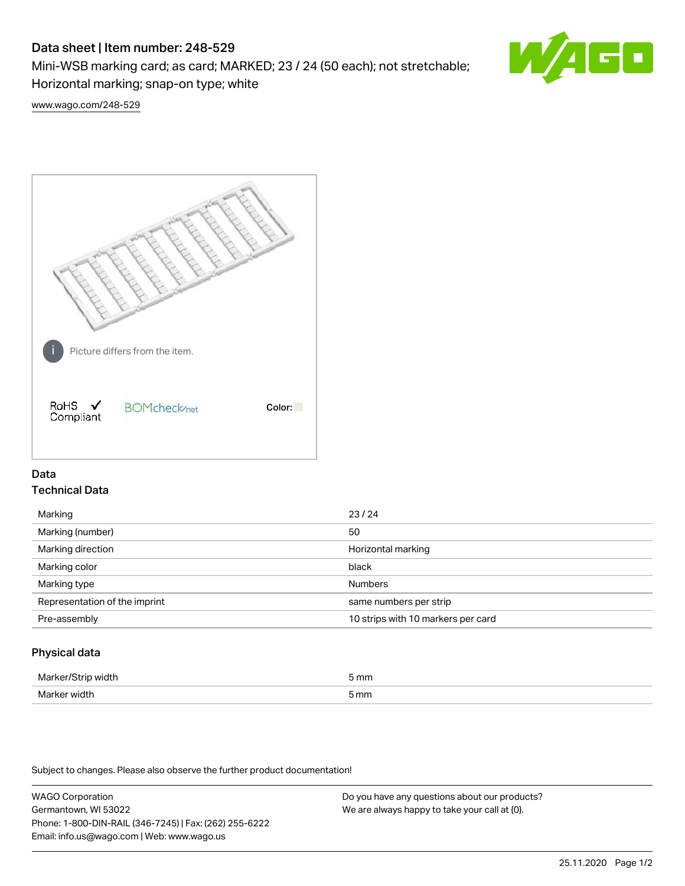# Data sheet | Item number: 248-529

Mini-WSB marking card; as card; MARKED; 23 / 24 (50 each); not stretchable; Horizontal marking; snap-on type; white



[www.wago.com/248-529](http://www.wago.com/248-529)



## Data Technical Data

| Marking                       | 23/24                              |
|-------------------------------|------------------------------------|
| Marking (number)              | 50                                 |
| Marking direction             | Horizontal marking                 |
| Marking color                 | black                              |
| Marking type                  | <b>Numbers</b>                     |
| Representation of the imprint | same numbers per strip             |
| Pre-assembly                  | 10 strips with 10 markers per card |
|                               |                                    |

## Physical data

| Marker<br><b>WINTI</b><br>י | 5 mm |
|-----------------------------|------|
| Marker width                | 5 mm |

Subject to changes. Please also observe the further product documentation!

WAGO Corporation Germantown, WI 53022 Phone: 1-800-DIN-RAIL (346-7245) | Fax: (262) 255-6222 Email: info.us@wago.com | Web: www.wago.us Do you have any questions about our products? We are always happy to take your call at {0}.